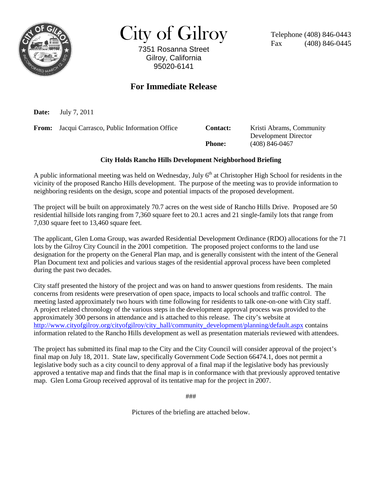

City of Gilroy

7351 Rosanna Street Gilroy, California 95020-6141

Telephone (408) 846-0443 Fax (408) 846-0445

### **For Immediate Release**

**Date:** July 7, 2011

**From:** Jacqui Carrasco, Public Information Office **Contact:** Kristi Abrams, Community Development Director **Phone:** (408) 846-0467

#### **City Holds Rancho Hills Development Neighborhood Briefing**

A public informational meeting was held on Wednesday, July  $6<sup>th</sup>$  at Christopher High School for residents in the vicinity of the proposed Rancho Hills development. The purpose of the meeting was to provide information to neighboring residents on the design, scope and potential impacts of the proposed development.

The project will be built on approximately 70.7 acres on the west side of Rancho Hills Drive. Proposed are 50 residential hillside lots ranging from 7,360 square feet to 20.1 acres and 21 single-family lots that range from 7,030 square feet to 13,460 square feet.

The applicant, Glen Loma Group, was awarded Residential Development Ordinance (RDO) allocations for the 71 lots by the Gilroy City Council in the 2001 competition. The proposed project conforms to the land use designation for the property on the General Plan map, and is generally consistent with the intent of the General Plan Document text and policies and various stages of the residential approval process have been completed during the past two decades.

City staff presented the history of the project and was on hand to answer questions from residents. The main concerns from residents were preservation of open space, impacts to local schools and traffic control. The meeting lasted approximately two hours with time following for residents to talk one-on-one with City staff. A project related chronology of the various steps in the development approval process was provided to the approximately 300 persons in attendance and is attached to this release. The city's website at [http://www.cityofgilroy.org/cityofgilroy/city\\_hall/community\\_development/planning/default.aspx](http://www.cityofgilroy.org/cityofgilroy/city_hall/community_development/planning/default.aspx) contains information related to the Rancho Hills development as well as presentation materials reviewed with attendees.

The project has submitted its final map to the City and the City Council will consider approval of the project's final map on July 18, 2011. State law, specifically Government Code Section 66474.1, does not permit a legislative body such as a city council to deny approval of a final map if the legislative body has previously approved a tentative map and finds that the final map is in conformance with that previously approved tentative map. Glen Loma Group received approval of its tentative map for the project in 2007.

###

Pictures of the briefing are attached below.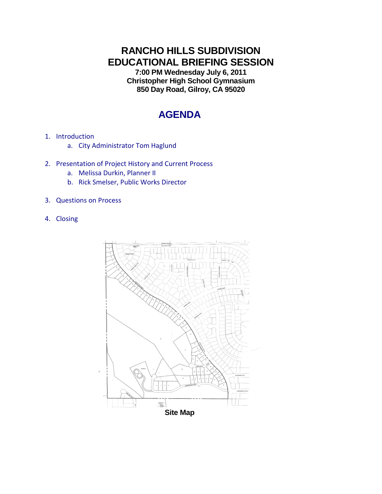# **RANCHO HILLS SUBDIVISION EDUCATIONAL BRIEFING SESSION**

**7:00 PM Wednesday July 6, 2011 Christopher High School Gymnasium 850 Day Road, Gilroy, CA 95020**

# **AGENDA**

- 1. Introduction
	- a. City Administrator Tom Haglund
- 2. Presentation of Project History and Current Process
	- a. Melissa Durkin, Planner II
	- b. Rick Smelser, Public Works Director
- 3. Questions on Process
- 4. Closing

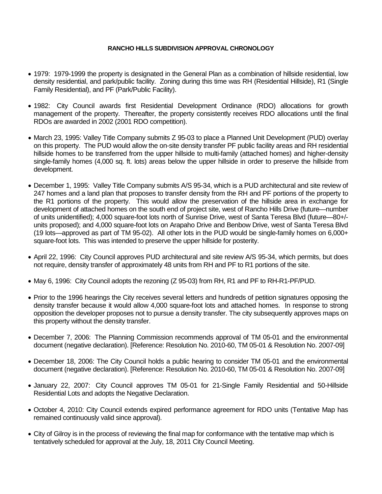#### **RANCHO HILLS SUBDIVISION APPROVAL CHRONOLOGY**

- 1979: 1979-1999 the property is designated in the General Plan as a combination of hillside residential, low density residential, and park/public facility. Zoning during this time was RH (Residential Hillside), R1 (Single Family Residential), and PF (Park/Public Facility).
- 1982: City Council awards first Residential Development Ordinance (RDO) allocations for growth management of the property. Thereafter, the property consistently receives RDO allocations until the final RDOs are awarded in 2002 (2001 RDO competition).
- March 23, 1995: Valley Title Company submits Z 95-03 to place a Planned Unit Development (PUD) overlay on this property. The PUD would allow the on-site density transfer PF public facility areas and RH residential hillside homes to be transferred from the upper hillside to multi-family (attached homes) and higher-density single-family homes (4,000 sq. ft. lots) areas below the upper hillside in order to preserve the hillside from development.
- December 1, 1995: Valley Title Company submits A/S 95-34, which is a PUD architectural and site review of 247 homes and a land plan that proposes to transfer density from the RH and PF portions of the property to the R1 portions of the property. This would allow the preservation of the hillside area in exchange for development of attached homes on the south end of project site, west of Rancho Hills Drive (future—number of units unidentified); 4,000 square-foot lots north of Sunrise Drive, west of Santa Teresa Blvd (future—80+/ units proposed); and 4,000 square-foot lots on Arapaho Drive and Benbow Drive, west of Santa Teresa Blvd (19 lots—approved as part of TM 95-02). All other lots in the PUD would be single-family homes on 6,000+ square-foot lots. This was intended to preserve the upper hillside for posterity.
- April 22, 1996: City Council approves PUD architectural and site review A/S 95-34, which permits, but does not require, density transfer of approximately 48 units from RH and PF to R1 portions of the site.
- May 6, 1996: City Council adopts the rezoning (Z 95-03) from RH, R1 and PF to RH-R1-PF/PUD.
- Prior to the 1996 hearings the City receives several letters and hundreds of petition signatures opposing the density transfer because it would allow 4,000 square-foot lots and attached homes. In response to strong opposition the developer proposes not to pursue a density transfer. The city subsequently approves maps on this property without the density transfer.
- December 7, 2006: The Planning Commission recommends approval of TM 05-01 and the environmental document (negative declaration). [Reference: Resolution No. 2010-60, TM 05-01 & Resolution No. 2007-09]
- December 18, 2006: The City Council holds a public hearing to consider TM 05-01 and the environmental document (negative declaration). [Reference: Resolution No. 2010-60, TM 05-01 & Resolution No. 2007-09]
- January 22, 2007: City Council approves TM 05-01 for 21-Single Family Residential and 50-Hillside Residential Lots and adopts the Negative Declaration.
- October 4, 2010: City Council extends expired performance agreement for RDO units (Tentative Map has remained continuously valid since approval).
- City of Gilroy is in the process of reviewing the final map for conformance with the tentative map which is tentatively scheduled for approval at the July, 18, 2011 City Council Meeting.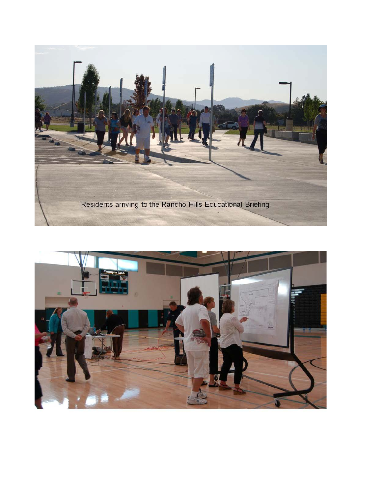

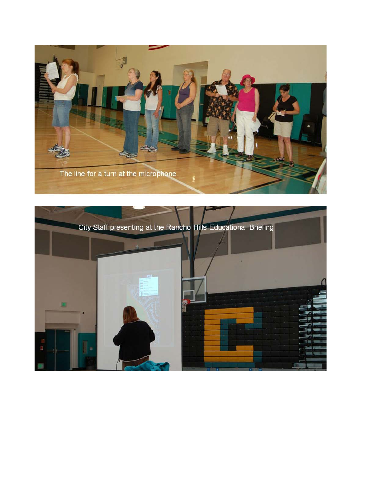